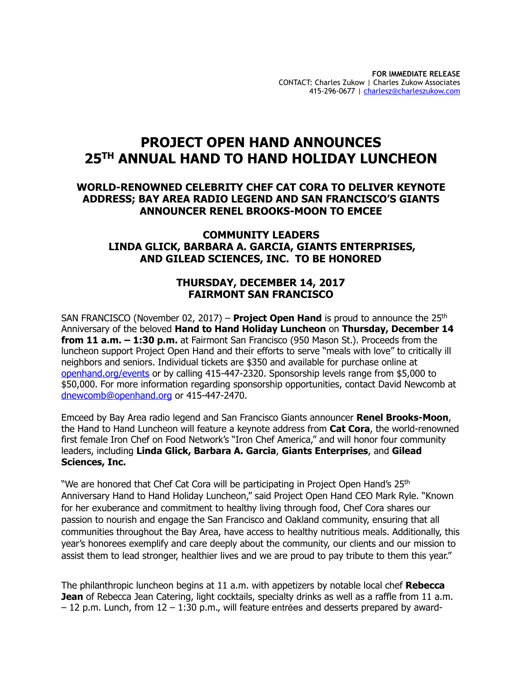# **PROJECT OPEN HAND ANNOUNCES 25TH ANNUAL HAND TO HAND HOLIDAY LUNCHEON**

### **WORLD-RENOWNED CELEBRITY CHEF CAT CORA TO DELIVER KEYNOTE ADDRESS; BAY AREA RADIO LEGEND AND SAN FRANCISCO'S GIANTS ANNOUNCER RENEL BROOKS-MOON TO EMCEE**

### **COMMUNITY LEADERS LINDA GLICK, BARBARA A. GARCIA, GIANTS ENTERPRISES, AND GILEAD SCIENCES, INC. TO BE HONORED**

### **THURSDAY, DECEMBER 14, 2017 FAIRMONT SAN FRANCISCO**

SAN FRANCISCO (November 02, 2017) – **Project Open Hand** is proud to announce the 25<sup>th</sup> Anniversary of the beloved **Hand to Hand Holiday Luncheon** on **Thursday, December 14 from 11 a.m. – 1:30 p.m.** at Fairmont San Francisco (950 Mason St.). Proceeds from the luncheon support Project Open Hand and their efforts to serve "meals with love" to critically ill neighbors and seniors. Individual tickets are \$350 and available for purchase online at [openhand.org/events](mailto:events@openhand.org) or by calling 415-447-2320. Sponsorship levels range from \$5,000 to \$50,000. For more information regarding sponsorship opportunities, contact David Newcomb at [dnewcomb@openhand.org](mailto:dnewcomb@openhand.org) or 415-447-2470.

Emceed by Bay Area radio legend and San Francisco Giants announcer **Renel Brooks-Moon**, the Hand to Hand Luncheon will feature a keynote address from **Cat Cora**, the world-renowned first female Iron Chef on Food Network's "Iron Chef America," and will honor four community leaders, including **Linda Glick, Barbara A. Garcia**, **Giants Enterprises**, and **Gilead Sciences, Inc.** 

"We are honored that Chef Cat Cora will be participating in Project Open Hand's 25<sup>th</sup> Anniversary Hand to Hand Holiday Luncheon," said Project Open Hand CEO Mark Ryle. "Known for her exuberance and commitment to healthy living through food, Chef Cora shares our passion to nourish and engage the San Francisco and Oakland community, ensuring that all communities throughout the Bay Area, have access to healthy nutritious meals. Additionally, this year's honorees exemplify and care deeply about the community, our clients and our mission to assist them to lead stronger, healthier lives and we are proud to pay tribute to them this year."

The philanthropic luncheon begins at 11 a.m. with appetizers by notable local chef **Rebecca Jean** of Rebecca Jean Catering, light cocktails, specialty drinks as well as a raffle from 11 a.m. – 12 p.m. Lunch, from 12 – 1:30 p.m., will feature entrées and desserts prepared by award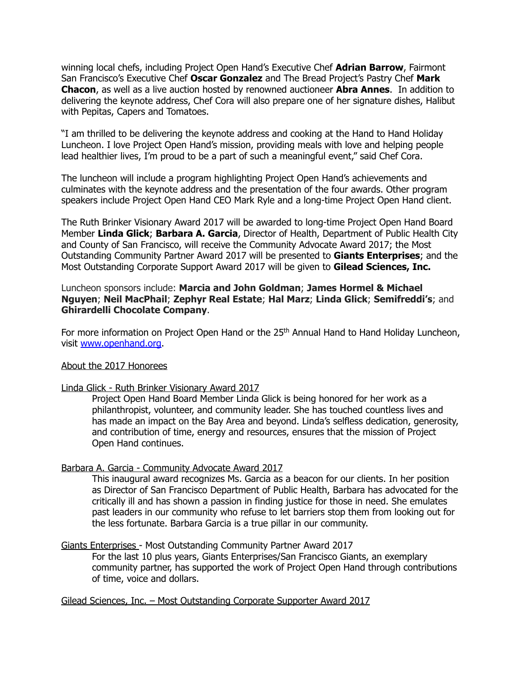winning local chefs, including Project Open Hand's Executive Chef **Adrian Barrow**, Fairmont San Francisco's Executive Chef **Oscar Gonzalez** and The Bread Project's Pastry Chef **Mark Chacon**, as well as a live auction hosted by renowned auctioneer **Abra Annes**. In addition to delivering the keynote address, Chef Cora will also prepare one of her signature dishes, Halibut with Pepitas, Capers and Tomatoes.

"I am thrilled to be delivering the keynote address and cooking at the Hand to Hand Holiday Luncheon. I love Project Open Hand's mission, providing meals with love and helping people lead healthier lives, I'm proud to be a part of such a meaningful event," said Chef Cora.

The luncheon will include a program highlighting Project Open Hand's achievements and culminates with the keynote address and the presentation of the four awards. Other program speakers include Project Open Hand CEO Mark Ryle and a long-time Project Open Hand client.

The Ruth Brinker Visionary Award 2017 will be awarded to long-time Project Open Hand Board Member **Linda Glick**; **Barbara A. Garcia**, Director of Health, Department of Public Health City and County of San Francisco, will receive the Community Advocate Award 2017; the Most Outstanding Community Partner Award 2017 will be presented to **Giants Enterprises**; and the Most Outstanding Corporate Support Award 2017 will be given to **Gilead Sciences, Inc.**

Luncheon sponsors include: **Marcia and John Goldman**; **James Hormel & Michael Nguyen**; **Neil MacPhail**; **Zephyr Real Estate**; **Hal Marz**; **Linda Glick**; **Semifreddi's**; and **Ghirardelli Chocolate Company**.

For more information on Project Open Hand or the 25<sup>th</sup> Annual Hand to Hand Holiday Luncheon, visit [www.openhand.org](http://www.openhand.org).

#### About the 2017 Honorees

#### Linda Glick - Ruth Brinker Visionary Award 2017

Project Open Hand Board Member Linda Glick is being honored for her work as a philanthropist, volunteer, and community leader. She has touched countless lives and has made an impact on the Bay Area and beyond. Linda's selfless dedication, generosity, and contribution of time, energy and resources, ensures that the mission of Project Open Hand continues.

#### Barbara A. Garcia - Community Advocate Award 2017

This inaugural award recognizes Ms. Garcia as a beacon for our clients. In her position as Director of San Francisco Department of Public Health, Barbara has advocated for the critically ill and has shown a passion in finding justice for those in need. She emulates past leaders in our community who refuse to let barriers stop them from looking out for the less fortunate. Barbara Garcia is a true pillar in our community.

#### Giants Enterprises - Most Outstanding Community Partner Award 2017

For the last 10 plus years, Giants Enterprises/San Francisco Giants, an exemplary community partner, has supported the work of Project Open Hand through contributions of time, voice and dollars.

Gilead Sciences, Inc. – Most Outstanding Corporate Supporter Award 2017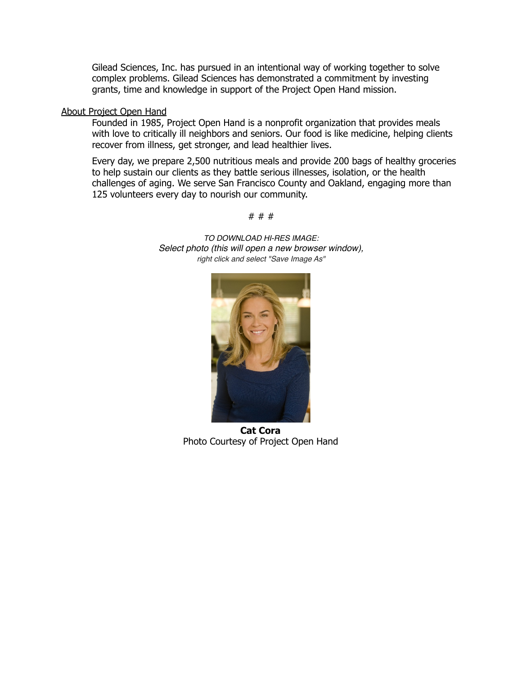Gilead Sciences, Inc. has pursued in an intentional way of working together to solve complex problems. Gilead Sciences has demonstrated a commitment by investing grants, time and knowledge in support of the Project Open Hand mission.

#### About Project Open Hand

Founded in 1985, Project Open Hand is a nonprofit organization that provides meals with love to critically ill neighbors and seniors. Our food is like medicine, helping clients recover from illness, get stronger, and lead healthier lives.

Every day, we prepare 2,500 nutritious meals and provide 200 bags of healthy groceries to help sustain our clients as they battle serious illnesses, isolation, or the health challenges of aging. We serve San Francisco County and Oakland, engaging more than 125 volunteers every day to nourish our community.



*TO DOWNLOAD HI-RES IMAGE: Select photo (this will open a new browser window), right click and select "Save Image As"*

# # #

**Cat Cora**  Photo Courtesy of Project Open Hand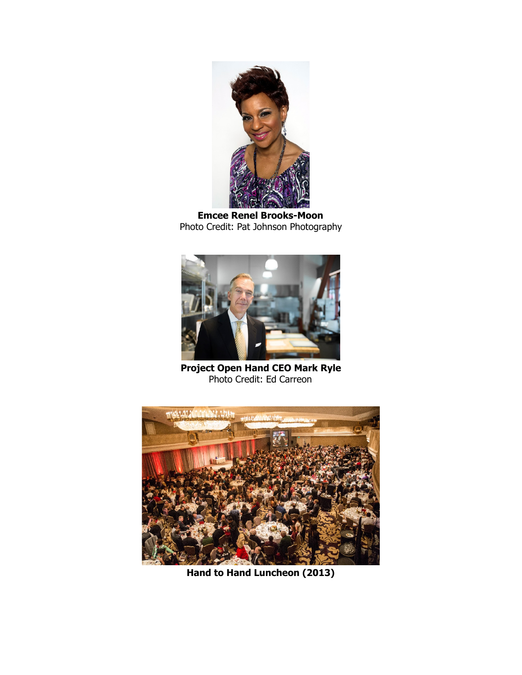

**Emcee Renel Brooks-Moon**  Photo Credit: Pat Johnson Photography



**Project Open Hand CEO Mark Ryle**  Photo Credit: Ed Carreon



**Hand to Hand Luncheon (2013)**